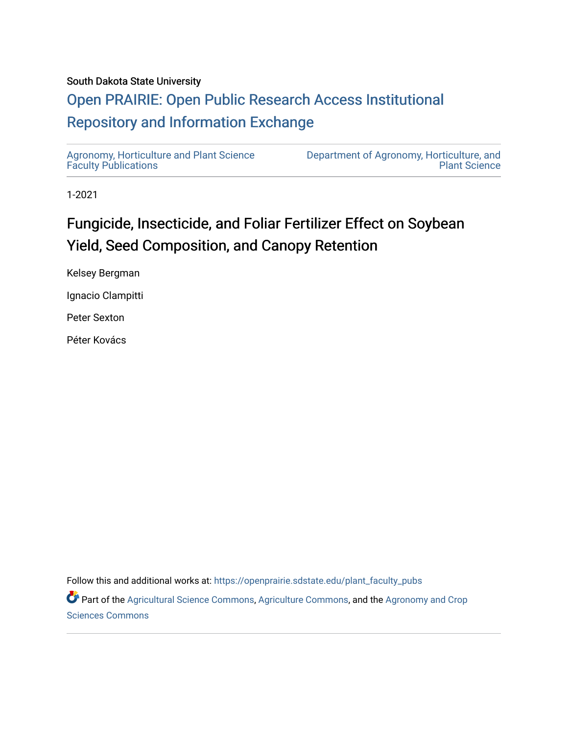### South Dakota State University

## [Open PRAIRIE: Open Public Research Access Institutional](https://openprairie.sdstate.edu/)  [Repository and Information Exchange](https://openprairie.sdstate.edu/)

[Agronomy, Horticulture and Plant Science](https://openprairie.sdstate.edu/plant_faculty_pubs)  [Faculty Publications](https://openprairie.sdstate.edu/plant_faculty_pubs)

[Department of Agronomy, Horticulture, and](https://openprairie.sdstate.edu/plant)  [Plant Science](https://openprairie.sdstate.edu/plant) 

1-2021

# Fungicide, Insecticide, and Foliar Fertilizer Effect on Soybean Yield, Seed Composition, and Canopy Retention

Kelsey Bergman

Ignacio Clampitti

Peter Sexton

Péter Kovács

Follow this and additional works at: [https://openprairie.sdstate.edu/plant\\_faculty\\_pubs](https://openprairie.sdstate.edu/plant_faculty_pubs?utm_source=openprairie.sdstate.edu%2Fplant_faculty_pubs%2F360&utm_medium=PDF&utm_campaign=PDFCoverPages)

Part of the [Agricultural Science Commons](http://network.bepress.com/hgg/discipline/1063?utm_source=openprairie.sdstate.edu%2Fplant_faculty_pubs%2F360&utm_medium=PDF&utm_campaign=PDFCoverPages), [Agriculture Commons,](http://network.bepress.com/hgg/discipline/1076?utm_source=openprairie.sdstate.edu%2Fplant_faculty_pubs%2F360&utm_medium=PDF&utm_campaign=PDFCoverPages) and the [Agronomy and Crop](http://network.bepress.com/hgg/discipline/103?utm_source=openprairie.sdstate.edu%2Fplant_faculty_pubs%2F360&utm_medium=PDF&utm_campaign=PDFCoverPages) [Sciences Commons](http://network.bepress.com/hgg/discipline/103?utm_source=openprairie.sdstate.edu%2Fplant_faculty_pubs%2F360&utm_medium=PDF&utm_campaign=PDFCoverPages)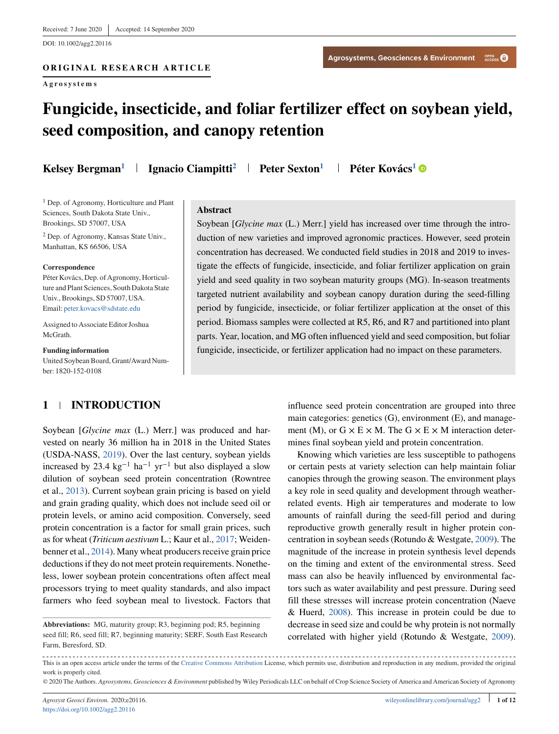DOI: 10.1002/agg2.20116

## **ORIGINAL RESEARCH ARTICLE**

**Agrosystems**

## **Fungicide, insecticide, and foliar fertilizer effect on soybean yield, seed composition, and canopy retention**

**Kelsey Bergman<sup>1</sup> | Ignacio Ciampitti<sup>2</sup> | Peter Sexton<sup>1</sup> | Péter Kovács<sup>1</sup> ©** 

<sup>1</sup> Dep. of Agronomy, Horticulture and Plant Sciences, South Dakota State Univ., Brookings, SD 57007, USA

<sup>2</sup> Dep. of Agronomy, Kansas State Univ., Manhattan, KS 66506, USA

#### **Correspondence**

Péter Kovács, Dep. of Agronomy, Horticulture and Plant Sciences, South Dakota State Univ., Brookings, SD 57007, USA. Email: [peter.kovacs@sdstate.edu](mailto:peter.kovacs@sdstate.edu)

Assigned to Associate Editor Joshua McGrath.

**Funding information** United Soybean Board, Grant/Award Number: 1820-152-0108

#### **Abstract**

Soybean [*Glycine max* (L.) Merr.] yield has increased over time through the introduction of new varieties and improved agronomic practices. However, seed protein concentration has decreased. We conducted field studies in 2018 and 2019 to investigate the effects of fungicide, insecticide, and foliar fertilizer application on grain yield and seed quality in two soybean maturity groups (MG). In-season treatments targeted nutrient availability and soybean canopy duration during the seed-filling period by fungicide, insecticide, or foliar fertilizer application at the onset of this period. Biomass samples were collected at R5, R6, and R7 and partitioned into plant parts. Year, location, and MG often influenced yield and seed composition, but foliar fungicide, insecticide, or fertilizer application had no impact on these parameters.

### **1 INTRODUCTION**

Soybean [*Glycine max* (L.) Merr.] was produced and harvested on nearly 36 million ha in 2018 in the United States (USDA-NASS, [2019\)](#page-12-0). Over the last century, soybean yields increased by 23.4 kg<sup>-1</sup> ha<sup>-1</sup> yr<sup>-1</sup> but also displayed a slow dilution of soybean seed protein concentration (Rowntree et al., [2013\)](#page-12-0). Current soybean grain pricing is based on yield and grain grading quality, which does not include seed oil or protein levels, or amino acid composition. Conversely, seed protein concentration is a factor for small grain prices, such as for wheat (*Triticum aestivum* L.; Kaur et al., [2017;](#page-12-0) Weidenbenner et al., [2014\)](#page-12-0). Many wheat producers receive grain price deductions if they do not meet protein requirements. Nonetheless, lower soybean protein concentrations often affect meal processors trying to meet quality standards, and also impact farmers who feed soybean meal to livestock. Factors that influence seed protein concentration are grouped into three main categories: genetics (G), environment (E), and management (M), or  $G \times E \times M$ . The  $G \times E \times M$  interaction determines final soybean yield and protein concentration.

Knowing which varieties are less susceptible to pathogens or certain pests at variety selection can help maintain foliar canopies through the growing season. The environment plays a key role in seed quality and development through weatherrelated events. High air temperatures and moderate to low amounts of rainfall during the seed-fill period and during reproductive growth generally result in higher protein concentration in soybean seeds (Rotundo & Westgate, [2009\)](#page-12-0). The magnitude of the increase in protein synthesis level depends on the timing and extent of the environmental stress. Seed mass can also be heavily influenced by environmental factors such as water availability and pest pressure. During seed fill these stresses will increase protein concentration (Naeve & Huerd, [2008\)](#page-12-0). This increase in protein could be due to decrease in seed size and could be why protein is not normally correlated with higher yield (Rotundo & Westgate, [2009\)](#page-12-0).

**Abbreviations:** MG, maturity group; R3, beginning pod; R5, beginning seed fill; R6, seed fill; R7, beginning maturity; SERF, South East Research Farm, Beresford, SD.

<sup>-----------------</sup>This is an open access article under the terms of the [Creative Commons Attribution](http://creativecommons.org/licenses/by/4.0/) License, which permits use, distribution and reproduction in any medium, provided the original work is properly cited.

<sup>©</sup> 2020 The Authors. *Agrosystems, Geosciences & Environment* published by Wiley Periodicals LLC on behalf of Crop Science Society of America and American Society of Agronomy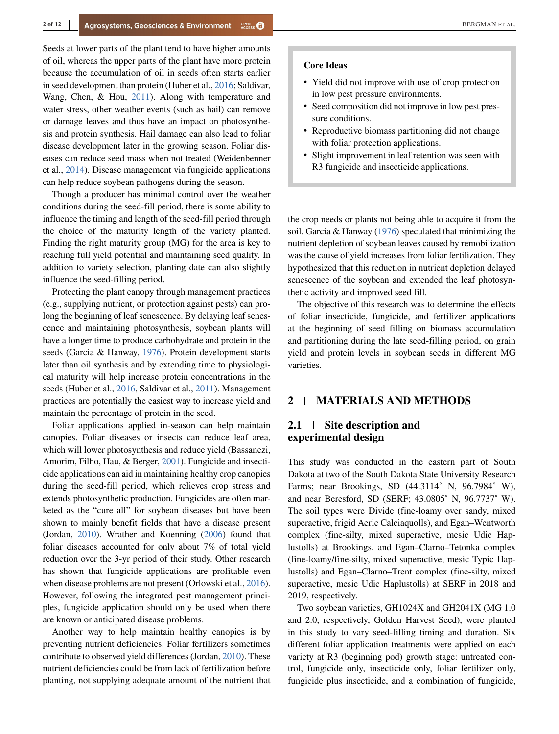Seeds at lower parts of the plant tend to have higher amounts of oil, whereas the upper parts of the plant have more protein because the accumulation of oil in seeds often starts earlier in seed development than protein (Huber et al., [2016;](#page-12-0) Saldivar, Wang, Chen, & Hou, [2011\)](#page-12-0). Along with temperature and water stress, other weather events (such as hail) can remove or damage leaves and thus have an impact on photosynthesis and protein synthesis. Hail damage can also lead to foliar disease development later in the growing season. Foliar diseases can reduce seed mass when not treated (Weidenbenner et al., [2014\)](#page-12-0). Disease management via fungicide applications can help reduce soybean pathogens during the season.

Though a producer has minimal control over the weather conditions during the seed-fill period, there is some ability to influence the timing and length of the seed-fill period through the choice of the maturity length of the variety planted. Finding the right maturity group (MG) for the area is key to reaching full yield potential and maintaining seed quality. In addition to variety selection, planting date can also slightly influence the seed-filling period.

Protecting the plant canopy through management practices (e.g., supplying nutrient, or protection against pests) can prolong the beginning of leaf senescence. By delaying leaf senescence and maintaining photosynthesis, soybean plants will have a longer time to produce carbohydrate and protein in the seeds (Garcia & Hanway, [1976\)](#page-12-0). Protein development starts later than oil synthesis and by extending time to physiological maturity will help increase protein concentrations in the seeds (Huber et al., [2016,](#page-12-0) Saldivar et al., [2011\)](#page-12-0). Management practices are potentially the easiest way to increase yield and maintain the percentage of protein in the seed.

Foliar applications applied in-season can help maintain canopies. Foliar diseases or insects can reduce leaf area, which will lower photosynthesis and reduce yield (Bassanezi, Amorim, Filho, Hau, & Berger, [2001\)](#page-12-0). Fungicide and insecticide applications can aid in maintaining healthy crop canopies during the seed-fill period, which relieves crop stress and extends photosynthetic production. Fungicides are often marketed as the "cure all" for soybean diseases but have been shown to mainly benefit fields that have a disease present (Jordan, [2010\)](#page-12-0). Wrather and Koenning [\(2006\)](#page-12-0) found that foliar diseases accounted for only about 7% of total yield reduction over the 3-yr period of their study. Other research has shown that fungicide applications are profitable even when disease problems are not present (Orlowski et al., [2016\)](#page-12-0). However, following the integrated pest management principles, fungicide application should only be used when there are known or anticipated disease problems.

Another way to help maintain healthy canopies is by preventing nutrient deficiencies. Foliar fertilizers sometimes contribute to observed yield differences (Jordan, [2010\)](#page-12-0). These nutrient deficiencies could be from lack of fertilization before planting, not supplying adequate amount of the nutrient that

#### **Core Ideas**

- ∙ Yield did not improve with use of crop protection in low pest pressure environments.
- ∙ Seed composition did not improve in low pest pressure conditions.
- ∙ Reproductive biomass partitioning did not change with foliar protection applications.
- ∙ Slight improvement in leaf retention was seen with R3 fungicide and insecticide applications.

the crop needs or plants not being able to acquire it from the soil. Garcia & Hanway [\(1976\)](#page-12-0) speculated that minimizing the nutrient depletion of soybean leaves caused by remobilization was the cause of yield increases from foliar fertilization. They hypothesized that this reduction in nutrient depletion delayed senescence of the soybean and extended the leaf photosynthetic activity and improved seed fill.

The objective of this research was to determine the effects of foliar insecticide, fungicide, and fertilizer applications at the beginning of seed filling on biomass accumulation and partitioning during the late seed-filling period, on grain yield and protein levels in soybean seeds in different MG varieties.

#### **2 MATERIALS AND METHODS**

#### **2.1 Site description and experimental design**

This study was conducted in the eastern part of South Dakota at two of the South Dakota State University Research Farms; near Brookings, SD (44.3114˚ N, 96.7984˚ W), and near Beresford, SD (SERF; 43.0805˚ N, 96.7737˚ W). The soil types were Divide (fine-loamy over sandy, mixed superactive, frigid Aeric Calciaquolls), and Egan–Wentworth complex (fine-silty, mixed superactive, mesic Udic Haplustolls) at Brookings, and Egan–Clarno–Tetonka complex (fine-loamy/fine-silty, mixed superactive, mesic Typic Haplustolls) and Egan–Clarno–Trent complex (fine-silty, mixed superactive, mesic Udic Haplustolls) at SERF in 2018 and 2019, respectively.

Two soybean varieties, GH1024X and GH2041X (MG 1.0 and 2.0, respectively, Golden Harvest Seed), were planted in this study to vary seed-filling timing and duration. Six different foliar application treatments were applied on each variety at R3 (beginning pod) growth stage: untreated control, fungicide only, insecticide only, foliar fertilizer only, fungicide plus insecticide, and a combination of fungicide,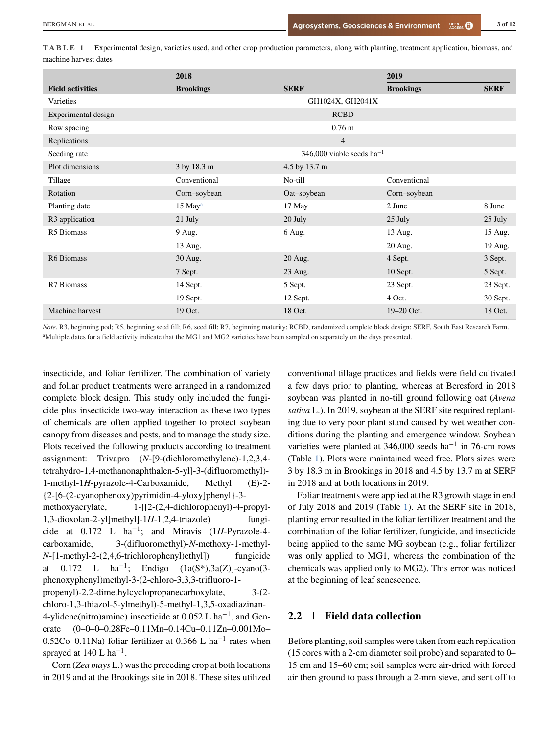<span id="page-3-0"></span>**TABLE 1** Experimental design, varieties used, and other crop production parameters, along with planting, treatment application, biomass, and machine harvest dates

|                            | 2018                  |                                | 2019             |             |
|----------------------------|-----------------------|--------------------------------|------------------|-------------|
| <b>Field activities</b>    | <b>Brookings</b>      | <b>SERF</b>                    | <b>Brookings</b> | <b>SERF</b> |
| Varieties                  |                       | GH1024X, GH2041X               |                  |             |
| Experimental design        |                       | <b>RCBD</b>                    |                  |             |
| Row spacing                |                       | $0.76$ m                       |                  |             |
| Replications               |                       | $\overline{4}$                 |                  |             |
| Seeding rate               |                       | 346,000 viable seeds $ha^{-1}$ |                  |             |
| Plot dimensions            | 3 by 18.3 m           | 4.5 by 13.7 m                  |                  |             |
| Tillage                    | Conventional          | No-till                        | Conventional     |             |
| Rotation                   | Corn-soybean          | Oat-soybean                    | Corn-soybean     |             |
| Planting date              | $15$ May <sup>a</sup> | 17 May                         | 2 June           | 8 June      |
| R <sub>3</sub> application | 21 July               | 20 July                        | 25 July          | 25 July     |
| R5 Biomass                 | 9 Aug.                | 6 Aug.                         | 13 Aug.          | 15 Aug.     |
|                            | 13 Aug.               |                                | 20 Aug.          | 19 Aug.     |
| R6 Biomass                 | 30 Aug.               | 20 Aug.                        | 4 Sept.          | 3 Sept.     |
|                            | 7 Sept.               | 23 Aug.                        | $10$ Sept.       | 5 Sept.     |
| R7 Biomass                 | 14 Sept.              | 5 Sept.                        | 23 Sept.         | 23 Sept.    |
|                            | 19 Sept.              | 12 Sept.                       | 4 Oct.           | 30 Sept.    |
| Machine harvest            | 19 Oct.               | 18 Oct.                        | 19-20 Oct.       | 18 Oct.     |

*Note*. R3, beginning pod; R5, beginning seed fill; R6, seed fill; R7, beginning maturity; RCBD, randomized complete block design; SERF, South East Research Farm. <sup>a</sup>Multiple dates for a field activity indicate that the MG1 and MG2 varieties have been sampled on separately on the days presented.

insecticide, and foliar fertilizer. The combination of variety and foliar product treatments were arranged in a randomized complete block design. This study only included the fungicide plus insecticide two-way interaction as these two types of chemicals are often applied together to protect soybean canopy from diseases and pests, and to manage the study size. Plots received the following products according to treatment assignment: Trivapro (*N*-[9-(dichloromethylene)-1,2,3,4 tetrahydro-1,4-methanonaphthalen-5-yl]-3-(difluoromethyl)- 1-methyl-1*H*-pyrazole-4-Carboxamide, Methyl (E)-2- {2-[6-(2-cyanophenoxy)pyrimidin-4-yloxy]phenyl}-3 methoxyacrylate, 1-[[2-(2,4-dichlorophenyl)-4-propyl-1,3-dioxolan-2-yl]methyl]-1*H*-1,2,4-triazole) fungicide at 0.172 L ha<sup>−</sup>1; and Miravis (1*H*-Pyrazole-4 carboxamide, 3-(difluoromethyl)-*N*-methoxy-1-methyl-*N*-[1-methyl-2-(2,4,6-trichlorophenyl)ethyl]) fungicide at 0.172 L ha<sup>-1</sup>; Endigo  $(1a(S^*), 3a(Z))$ -cyano $(3$ phenoxyphenyl)methyl-3-(2-chloro-3,3,3-trifluoro-1 propenyl)-2,2-dimethylcyclopropanecarboxylate, 3-(2 chloro-1,3-thiazol-5-ylmethyl)-5-methyl-1,3,5-oxadiazinan-4-ylidene(nitro)amine) insecticide at  $0.052$  L ha<sup>-1</sup>, and Generate (0–0–0–0.28Fe–0.11Mn–0.14Cu–0.11Zn–0.001Mo– 0.52Co–0.11Na) foliar fertilizer at 0.366 L ha−<sup>1</sup> rates when sprayed at  $140 \text{ L} \text{ ha}^{-1}$ .

Corn (*Zea mays* L.) was the preceding crop at both locations in 2019 and at the Brookings site in 2018. These sites utilized conventional tillage practices and fields were field cultivated a few days prior to planting, whereas at Beresford in 2018 soybean was planted in no-till ground following oat (*Avena sativa* L.). In 2019, soybean at the SERF site required replanting due to very poor plant stand caused by wet weather conditions during the planting and emergence window. Soybean varieties were planted at  $346,000$  seeds ha<sup>-1</sup> in 76-cm rows (Table 1). Plots were maintained weed free. Plots sizes were 3 by 18.3 m in Brookings in 2018 and 4.5 by 13.7 m at SERF in 2018 and at both locations in 2019.

Foliar treatments were applied at the R3 growth stage in end of July 2018 and 2019 (Table 1). At the SERF site in 2018, planting error resulted in the foliar fertilizer treatment and the combination of the foliar fertilizer, fungicide, and insecticide being applied to the same MG soybean (e.g., foliar fertilizer was only applied to MG1, whereas the combination of the chemicals was applied only to MG2). This error was noticed at the beginning of leaf senescence.

#### **2.2 Field data collection**

Before planting, soil samples were taken from each replication (15 cores with a 2-cm diameter soil probe) and separated to 0– 15 cm and 15–60 cm; soil samples were air-dried with forced air then ground to pass through a 2-mm sieve, and sent off to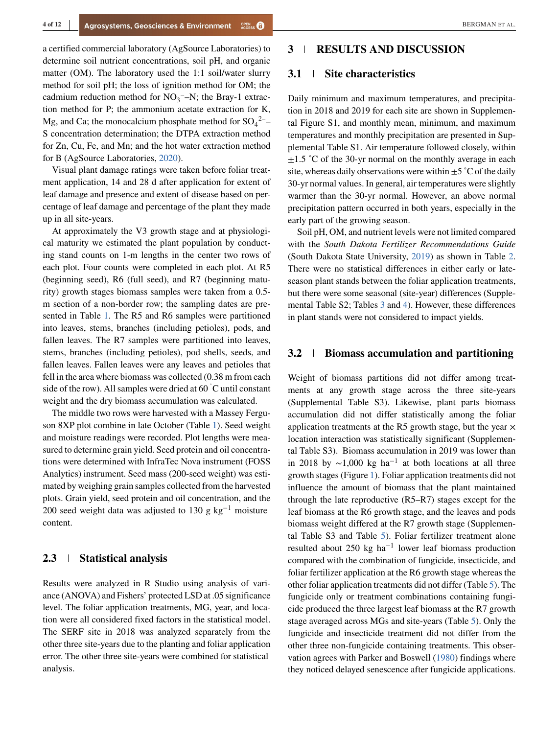a certified commercial laboratory (AgSource Laboratories) to determine soil nutrient concentrations, soil pH, and organic

matter (OM). The laboratory used the 1:1 soil/water slurry method for soil pH; the loss of ignition method for OM; the cadmium reduction method for  $NO_3$ <sup>-</sup>-N; the Bray-1 extraction method for P; the ammonium acetate extraction for K, Mg, and Ca; the monocalcium phosphate method for  $SO_4^2$ <sup>2-</sup> S concentration determination; the DTPA extraction method for Zn, Cu, Fe, and Mn; and the hot water extraction method for B (AgSource Laboratories, [2020\)](#page-12-0).

Visual plant damage ratings were taken before foliar treatment application, 14 and 28 d after application for extent of leaf damage and presence and extent of disease based on percentage of leaf damage and percentage of the plant they made up in all site-years.

At approximately the V3 growth stage and at physiological maturity we estimated the plant population by conducting stand counts on 1-m lengths in the center two rows of each plot. Four counts were completed in each plot. At R5 (beginning seed), R6 (full seed), and R7 (beginning maturity) growth stages biomass samples were taken from a 0.5 m section of a non-border row; the sampling dates are presented in Table [1.](#page-3-0) The R5 and R6 samples were partitioned into leaves, stems, branches (including petioles), pods, and fallen leaves. The R7 samples were partitioned into leaves, stems, branches (including petioles), pod shells, seeds, and fallen leaves. Fallen leaves were any leaves and petioles that fell in the area where biomass was collected (0.38 m from each side of the row). All samples were dried at  $60\degree C$  until constant weight and the dry biomass accumulation was calculated.

The middle two rows were harvested with a Massey Ferguson 8XP plot combine in late October (Table [1\)](#page-3-0). Seed weight and moisture readings were recorded. Plot lengths were measured to determine grain yield. Seed protein and oil concentrations were determined with InfraTec Nova instrument (FOSS Analytics) instrument. Seed mass (200-seed weight) was estimated by weighing grain samples collected from the harvested plots. Grain yield, seed protein and oil concentration, and the 200 seed weight data was adjusted to 130 g kg<sup>-1</sup> moisture content.

#### **2.3 Statistical analysis**

Results were analyzed in R Studio using analysis of variance (ANOVA) and Fishers' protected LSD at .05 significance level. The foliar application treatments, MG, year, and location were all considered fixed factors in the statistical model. The SERF site in 2018 was analyzed separately from the other three site-years due to the planting and foliar application error. The other three site-years were combined for statistical analysis.

#### **3 RESULTS AND DISCUSSION**

#### **3.1 Site characteristics**

Daily minimum and maximum temperatures, and precipitation in 2018 and 2019 for each site are shown in Supplemental Figure S1, and monthly mean, minimum, and maximum temperatures and monthly precipitation are presented in Supplemental Table S1. Air temperature followed closely, within  $\pm 1.5$  °C of the 30-yr normal on the monthly average in each site, whereas daily observations were within  $\pm 5^{\circ}$ C of the daily 30-yr normal values. In general, air temperatures were slightly warmer than the 30-yr normal. However, an above normal precipitation pattern occurred in both years, especially in the early part of the growing season.

Soil pH, OM, and nutrient levels were not limited compared with the *South Dakota Fertilizer Recommendations Guide* (South Dakota State University, [2019\)](#page-12-0) as shown in Table [2.](#page-5-0) There were no statistical differences in either early or lateseason plant stands between the foliar application treatments, but there were some seasonal (site-year) differences (Supplemental Table S2; Tables [3](#page-6-0) and [4\)](#page-7-0). However, these differences in plant stands were not considered to impact yields.

#### **3.2 Biomass accumulation and partitioning**

Weight of biomass partitions did not differ among treatments at any growth stage across the three site-years (Supplemental Table S3). Likewise, plant parts biomass accumulation did not differ statistically among the foliar application treatments at the R5 growth stage, but the year  $\times$ location interaction was statistically significant (Supplemental Table S3). Biomass accumulation in 2019 was lower than in 2018 by  $\sim$ 1,000 kg ha<sup>-1</sup> at both locations at all three growth stages (Figure [1\)](#page-8-0). Foliar application treatments did not influence the amount of biomass that the plant maintained through the late reproductive (R5–R7) stages except for the leaf biomass at the R6 growth stage, and the leaves and pods biomass weight differed at the R7 growth stage (Supplemental Table S3 and Table [5\)](#page-9-0). Foliar fertilizer treatment alone resulted about 250 kg ha−<sup>1</sup> lower leaf biomass production compared with the combination of fungicide, insecticide, and foliar fertilizer application at the R6 growth stage whereas the other foliar application treatments did not differ (Table [5\)](#page-9-0). The fungicide only or treatment combinations containing fungicide produced the three largest leaf biomass at the R7 growth stage averaged across MGs and site-years (Table [5\)](#page-9-0). Only the fungicide and insecticide treatment did not differ from the other three non-fungicide containing treatments. This observation agrees with Parker and Boswell [\(1980\)](#page-12-0) findings where they noticed delayed senescence after fungicide applications.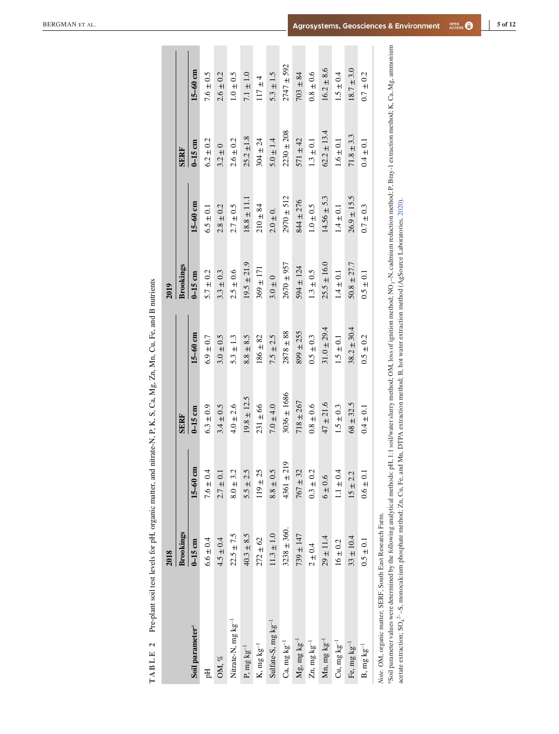<span id="page-5-0"></span>

|                                                                                                                                                                                                                                                                                                                                                                                                                                                                                    | 2018             |                    |                 |                 | 2019            |                 |                 |                |
|------------------------------------------------------------------------------------------------------------------------------------------------------------------------------------------------------------------------------------------------------------------------------------------------------------------------------------------------------------------------------------------------------------------------------------------------------------------------------------|------------------|--------------------|-----------------|-----------------|-----------------|-----------------|-----------------|----------------|
|                                                                                                                                                                                                                                                                                                                                                                                                                                                                                    | <b>Brookings</b> |                    | SERF            |                 | Brookings       |                 | <b>SERF</b>     |                |
| Soil parameter <sup>a</sup>                                                                                                                                                                                                                                                                                                                                                                                                                                                        | $0-15$ cm        | $15-60$ cm         | $0-15$ cm       | $15-60$ cm      | $0-15$ cm       | $15-60$ cm      | $0-15$ cm       | $15-60$ cm     |
| 핌                                                                                                                                                                                                                                                                                                                                                                                                                                                                                  | $6.6 \pm 0.4$    | $7.6 \pm 0.4$      | $6.3 \pm 0.9$   | $6.9 \pm 0.7$   | $5.7 \pm 0.2$   | $6.5 \pm 0.1$   | $6.2 \pm 0.2$   | $7.6 \pm 0.5$  |
| OM, %                                                                                                                                                                                                                                                                                                                                                                                                                                                                              | $4.5 \pm 0.4$    | $2.7 \pm 0.1$      | $3.4 \pm 0.5$   | $3.0 \pm 0.5$   | $3.3 \pm 0.3$   | $2.8 \pm 0.2$   | $3.2 \pm 0$     | $2.6 \pm 0.2$  |
| Nitrate-N, mg kg <sup>-1</sup>                                                                                                                                                                                                                                                                                                                                                                                                                                                     | $22.5 \pm 7.5$   | $8.0 \pm 3.2$      | $4.0 \pm 2.6$   | $5.3 \pm 1.3$   | $2.5 \pm 0.6$   | $2.7 \pm 0.5$   | $2.6 \pm 0.2$   | $1.0 \pm 0.5$  |
| P, mg $kg^{-1}$                                                                                                                                                                                                                                                                                                                                                                                                                                                                    | $40.3 \pm 8.5$   | $5.5 \pm 2.5$      | $19.8 \pm 12.5$ | $8.8 \pm 8.5$   | $19.5 \pm 21.9$ | $18.8 \pm 11.1$ | $25.2 \pm 1.8$  | $7.1 \pm 1.0$  |
| K, mg $kg^{-1}$                                                                                                                                                                                                                                                                                                                                                                                                                                                                    | $272 \pm 62$     | $119 \pm 25$       | $231 \pm 66$    | $186 \pm 82$    | $369 \pm 171$   | $210 \pm 84$    | $304 \pm 24$    | $117 \pm 4$    |
| Sulfate-S, $mg\,kg^{-1}$                                                                                                                                                                                                                                                                                                                                                                                                                                                           | $11.3 \pm 1.0$   | $8.8 \pm 0.5$      | $7.0 \pm 4.0$   | $7.5 \pm 2.5$   | $3.0 \pm 0$     | $2.0 \pm 0.$    | $5.0 \pm 1.4$   | $5.3 \pm 1.5$  |
| $Ca$ , mg $kg^{-1}$                                                                                                                                                                                                                                                                                                                                                                                                                                                                | $3238 \pm 360$ . | ە<br>$4361 \pm 21$ | $3036 \pm 1686$ | $2878 \pm 88$   | $2670 \pm 957$  | $2970 \pm 512$  | $2230 \pm 208$  | $2747 \pm 592$ |
| $Mg$ , mg $kg^{-1}$                                                                                                                                                                                                                                                                                                                                                                                                                                                                | $739 \pm 147$    | $767 + 32$         | $718 + 267$     | $899 \pm 255$   | $594 \pm 124$   | $844 \pm 276$   | $571 \pm 42$    | $703 \pm 84$   |
| $Zn$ , mg $kg^{-1}$                                                                                                                                                                                                                                                                                                                                                                                                                                                                | $2 \pm 0.4$      | $0.3 \pm 0.2$      | $0.8 \pm 0.6$   | $0.5 \pm 0.3$   | $1.3 \pm 0.5$   | $1.0\pm0.5$     | $1.3 \pm 0.1$   | $0.8 \pm 0.6$  |
| $Mn$ , mg $kg^{-1}$                                                                                                                                                                                                                                                                                                                                                                                                                                                                | $29 \pm 11.4$    | $6 \pm 0.6$        | $47 \pm 21.6$   | $31.0 \pm 29.4$ | $25.5 \pm 16.0$ | $14.56 \pm 5.3$ | $62.2 \pm 13.4$ | $16.2 \pm 8.6$ |
| Cu, mg $kg^{-1}$                                                                                                                                                                                                                                                                                                                                                                                                                                                                   | $16 \pm 0.2$     | $1.1 \pm 0.4$      | $1.5 \pm 0.3$   | $1.5 \pm 0.1$   | $1.4 \pm 0.1$   | $1.4 \pm 0.1$   | $1.6 \pm 0.1$   | $1.5 \pm 0.4$  |
| Fe, mg $kg^{-1}$                                                                                                                                                                                                                                                                                                                                                                                                                                                                   | $33 \pm 10.4$    | $15 \pm 2.2$       | $68 \pm 32.5$   | $38.2 \pm 30.4$ | $50.8 \pm 27.7$ | $26.9 \pm 15.5$ | $71.8 \pm 3.3$  | $18.7 \pm 3.0$ |
| B, mg $kg^{-1}$                                                                                                                                                                                                                                                                                                                                                                                                                                                                    | $0.5 \pm 0.1$    | $0.6 \pm 0.1$      | $0.4 \pm 0.1$   | $0.5 \pm 0.2$   | $0.5 \pm 0.1$   | $0.7 \pm 0.3$   | $0.4 \pm 0.1$   | $0.7 \pm 0.2$  |
| Soil parameter values were determined by the following analytical methods: pH, 1:1 soil/water slurry method; OM, loss of ignition method; NO <sub>3</sub> -N, cadmium reduction method; P, Bray-1 extraction method; K, Ca, Mg, ammonium<br>acetate extraction; $SO_4^2- S$ , monocalcium phosphate method; Zn, Cu, Fe, and Mn, DTPA extraction method; B, hot water extraction method (AgSource Laboratories, 2020).<br>Note. OM, organic matter; SERF, South East Research Farm. |                  |                    |                 |                 |                 |                 |                 |                |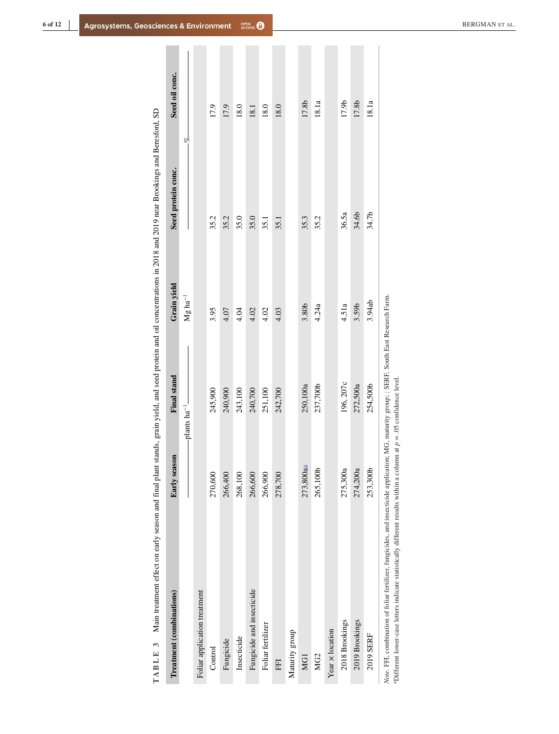<span id="page-6-0"></span>

| Treatment (combinations)     | Early season                  | Final stand | Grain yield           | Seed protein conc. | Seed oil conc. |
|------------------------------|-------------------------------|-------------|-----------------------|--------------------|----------------|
|                              | $-p$ lants ha <sup>-1</sup> - |             | $Mg$ ha <sup>-1</sup> | s.<br>S            |                |
| Foliar application treatment |                               |             |                       |                    |                |
| Control                      | 270,600                       | 245,900     | 3.95                  | 35.2               | 17.9           |
| Fungicide                    | 266,400                       | 240,900     | 4.07                  | 35.2               | 17.9           |
| Insecticide                  | 268,100                       | 243,100     | 4.04                  | 35.0               | 18.0           |
| Fungicide and insecticide    | 266,600                       | 240,700     | 4.02                  | 35.0               | 18.1           |
| Foliar fertilizer            | 266,900                       | 251,100     | 4.02                  | 35.1               | 18.0           |
| FFI                          | 278,700                       | 242,700     | 4.03                  | 35.1               | 18.0           |
| Maturity group               |                               |             |                       |                    |                |
| MG1                          | 273,800aa                     | 250,100a    | 3.80b                 | 35.3               | 17.8b          |
| MG <sub>2</sub>              | 265,100b                      | 237,700b    | 4.24a                 | 35.2               | 18.1a          |
| Year x location              |                               |             |                       |                    |                |
| 2018 Brookings               | 275,300a                      | 196, 207c   | 4.51a                 | 36.5a              | 17.9b          |
| 2019 Brookings               | 274,200a                      | 272,500a    | 3.59b                 | 34.6b              | 17.8b          |
| 2019 SERF                    | 253,300b                      | 254,500b    | 3.94ab                | 34.7b              | 18.1a          |

Main treatment effect on early season and final plant stands, grain yield, and seed protein and oil concentrations in 2018 and 2019 near Brookings and Beresford, SD **TABLE 3** Main treatment effect on early season and final plant stands, grain yield, and seed protein and oil concentrations in 2018 and 2019 near Brookings and Beresford, SD TABLE 3

Note. FFI, combination of foliar fertilizer, fungicides, and insecticide application; MG, maturity group; ; SERF, South East Research Farm.<br><sup>a</sup>Different lower-case letters indicate statistically different results within a *Note*. FFI, combination of foliar fertilizer, fungicides, and insecticide application; MG, maturity group; ; SERF, South East Research Farm. aDifferent lower-case letters indicate statistically different results within a column at *p* = .05 confidence level.

 $\begin{array}{c} \hline \end{array}$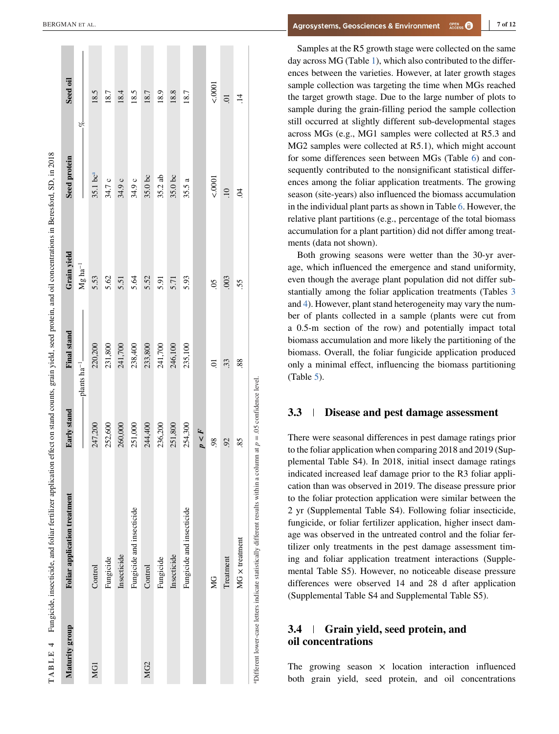<span id="page-7-0"></span>

| Maturity group  | Foliar application treatment | Early stand | <b>Final stand</b>          | Grain yield      | Seed protein           | Seed oil       |
|-----------------|------------------------------|-------------|-----------------------------|------------------|------------------------|----------------|
|                 |                              |             | $-p$ lants ha <sup>-1</sup> | $\rm Mg~ha^{-1}$ |                        | ے<br>ا         |
| MG1             | Control                      | 247,200     | 220,200                     | 5.53             | $35.1$ bc <sup>a</sup> | 18.5           |
|                 | Fungicide                    | 252,600     | 231,800                     | 5.62             | 34.7 c                 | 18.7           |
|                 | Insecticide                  | 260,000     | 241,700                     | 5.51             | 34.9 c                 | 18.4           |
|                 | Fungicide and insecticide    | 251,000     | 238,400                     | 5.64             | 34.9 c                 | 18.5           |
| MG <sub>2</sub> | Control                      | 244,400     | 233,800                     | 5.52             | 35.0 bc                | 18.7           |
|                 | Fungicide                    | 236,200     | 241,700                     | 5.91             | 35.2ab                 | 18.9           |
|                 | Insecticide                  | 251,800     | 246,100                     | 5.71             | $35.0$ bc              | 18.8           |
|                 | Fungicide and insecticide    | 254,300     | 235,100                     | 5.93             | 35.5 a                 | 18.7           |
|                 |                              | p < F       |                             |                  |                        |                |
|                 | <b>S</b>                     | 98          | ຣຸ                          | SO.              | 0001                   | 0001           |
|                 | Treatment                    | 92          | 33.                         | .003             | $\Xi$                  | $\overline{c}$ |
|                 | MG x treatment               | 85          | 88.                         | 55.              | S.                     | $\ddot{1}$     |

Samples at the R5 growth stage were collected on the same day across MG (Table [1\)](#page-3-0), which also contributed to the differences between the varieties. However, at later growth stages sample collection was targeting the time when MGs reached the target growth stage. Due to the large number of plots to sample during the grain-filling period the sample collection still occurred at slightly different sub-developmental stages across MGs (e.g., MG1 samples were collected at R5.3 and MG2 samples were collected at R5.1), which might account for some differences seen between MGs (Table [6\)](#page-10-0) and consequently contributed to the nonsignificant statistical differences among the foliar application treatments. The growing season (site-years) also influenced the biomass accumulation in the individual plant parts as shown in Table [6.](#page-10-0) However, the relative plant partitions (e.g., percentage of the total biomass accumulation for a plant partition) did not differ among treatments (data not shown).

Both growing seasons were wetter than the 30-yr average, which influenced the emergence and stand uniformity, even though the average plant population did not differ substantially among the foliar application treatments (Tables [3](#page-6-0) and 4). However, plant stand heterogeneity may vary the number of plants collected in a sample (plants were cut from a 0.5-m section of the row) and potentially impact total biomass accumulation and more likely the partitioning of the biomass. Overall, the foliar fungicide application produced only a minimal effect, influencing the biomass partitioning (Table [5\)](#page-9-0).

#### **3.3 Disease and pest damage assessment**

There were seasonal differences in pest damage ratings prior to the foliar application when comparing 2018 and 2019 (Supplemental Table S4). In 2018, initial insect damage ratings indicated increased leaf damage prior to the R3 foliar application than was observed in 2019. The disease pressure prior to the foliar protection application were similar between the 2 yr (Supplemental Table S4). Following foliar insecticide, fungicide, or foliar fertilizer application, higher insect damage was observed in the untreated control and the foliar fertilizer only treatments in the pest damage assessment timing and foliar application treatment interactions (Supplemental Table S5). However, no noticeable disease pressure differences were observed 14 and 28 d after application (Supplemental Table S4 and Supplemental Table S5).

### **3.4 Grain yield, seed protein, and oil concentrations**

The growing season  $\times$  location interaction influenced both grain yield, seed protein, and oil concentrations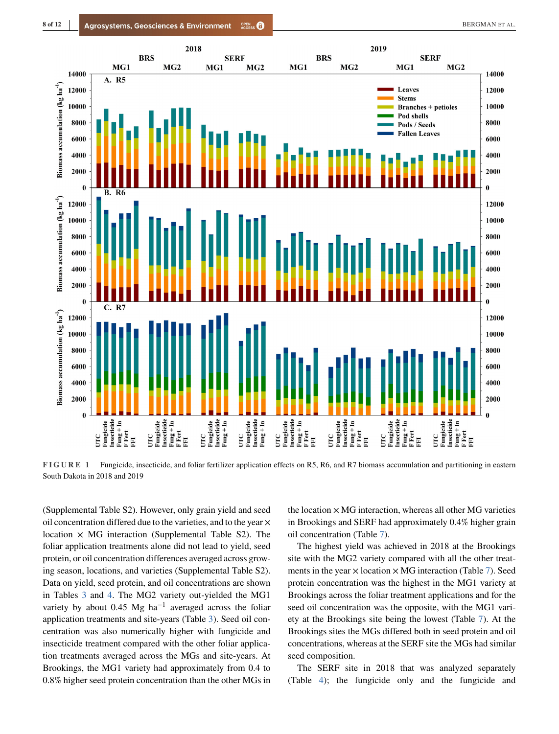<span id="page-8-0"></span>

**FIGURE 1** Fungicide, insecticide, and foliar fertilizer application effects on R5, R6, and R7 biomass accumulation and partitioning in eastern South Dakota in 2018 and 2019

(Supplemental Table S2). However, only grain yield and seed oil concentration differed due to the varieties, and to the year  $\times$ location  $\times$  MG interaction (Supplemental Table S2). The foliar application treatments alone did not lead to yield, seed protein, or oil concentration differences averaged across growing season, locations, and varieties (Supplemental Table S2). Data on yield, seed protein, and oil concentrations are shown in Tables [3](#page-6-0) and [4.](#page-7-0) The MG2 variety out-yielded the MG1 variety by about 0.45 Mg ha<sup>-1</sup> averaged across the foliar application treatments and site-years (Table [3\)](#page-6-0). Seed oil concentration was also numerically higher with fungicide and insecticide treatment compared with the other foliar application treatments averaged across the MGs and site-years. At Brookings, the MG1 variety had approximately from 0.4 to 0.8% higher seed protein concentration than the other MGs in

the location  $\times$  MG interaction, whereas all other MG varieties in Brookings and SERF had approximately 0.4% higher grain oil concentration (Table [7\)](#page-11-0).

The highest yield was achieved in 2018 at the Brookings site with the MG2 variety compared with all the other treatments in the year  $\times$  location  $\times$  MG interaction (Table [7\)](#page-11-0). Seed protein concentration was the highest in the MG1 variety at Brookings across the foliar treatment applications and for the seed oil concentration was the opposite, with the MG1 variety at the Brookings site being the lowest (Table [7\)](#page-11-0). At the Brookings sites the MGs differed both in seed protein and oil concentrations, whereas at the SERF site the MGs had similar seed composition.

The SERF site in 2018 that was analyzed separately (Table [4\)](#page-7-0); the fungicide only and the fungicide and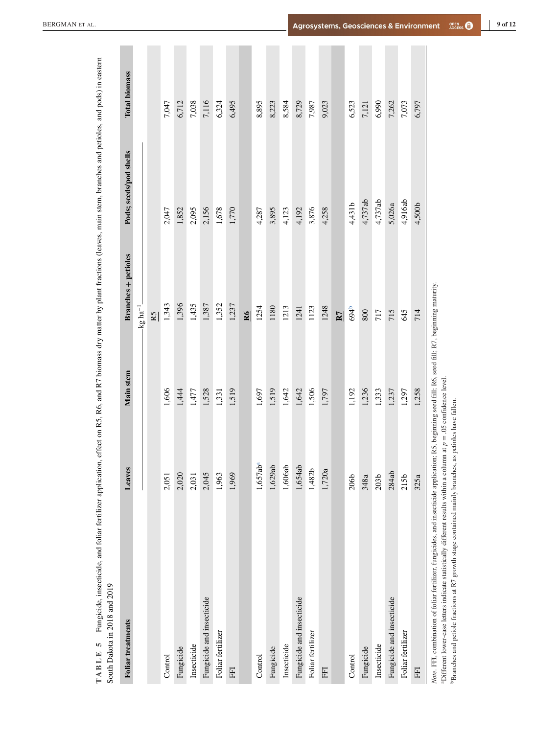<span id="page-9-0"></span>

| <b>Foliar</b> treatments                                                                                                                                                                                                                                                                                                                                                                  | Leaves                  | Main stem | <b>Branches</b> + petioles | Pods; seeds/pod shells | <b>Total biomass</b> |
|-------------------------------------------------------------------------------------------------------------------------------------------------------------------------------------------------------------------------------------------------------------------------------------------------------------------------------------------------------------------------------------------|-------------------------|-----------|----------------------------|------------------------|----------------------|
|                                                                                                                                                                                                                                                                                                                                                                                           |                         |           | $\log$ ha <sup>-1</sup>    |                        |                      |
|                                                                                                                                                                                                                                                                                                                                                                                           |                         |           | R5                         |                        |                      |
| Control                                                                                                                                                                                                                                                                                                                                                                                   | 2,051                   | 1,606     | 1,343                      | 2,047                  | 7,047                |
| Fungicide                                                                                                                                                                                                                                                                                                                                                                                 | 2,020                   | 1,444     | 1,396                      | 1,852                  | 6,712                |
| Insecticide                                                                                                                                                                                                                                                                                                                                                                               | 2,031                   | 1,477     | 1,435                      | 2,095                  | 7,038                |
| Fungicide and insecticide                                                                                                                                                                                                                                                                                                                                                                 | 2,045                   | 1,528     | 1,387                      | 2,156                  | 7,116                |
| Foliar fertilizer                                                                                                                                                                                                                                                                                                                                                                         | 1,963                   | 1,331     | 1,352                      | 1,678                  | 6,324                |
| E                                                                                                                                                                                                                                                                                                                                                                                         | 1,969                   | 1,519     | 1,237                      | 1,770                  | 6,495                |
|                                                                                                                                                                                                                                                                                                                                                                                           |                         |           | R6                         |                        |                      |
| Control                                                                                                                                                                                                                                                                                                                                                                                   | 1,657ab <sup>a</sup>    | 1,697     | 1254                       | 4,287                  | 8,895                |
| Fungicide                                                                                                                                                                                                                                                                                                                                                                                 | 1,629ab                 | 1,519     | 1180                       | 3,895                  | 8,223                |
| Insecticide                                                                                                                                                                                                                                                                                                                                                                               | 1,606ab                 | 1,642     | 1213                       | 4,123                  | 8,584                |
| Fungicide and insecticide                                                                                                                                                                                                                                                                                                                                                                 | 1,654ab                 | 1,642     | 1241                       | 4,192                  | 8,729                |
| Foliar fertilizer                                                                                                                                                                                                                                                                                                                                                                         | 1,482b                  | 1,506     | 1123                       | 3,876                  | 7,987                |
| EFI                                                                                                                                                                                                                                                                                                                                                                                       | 1,720a                  | 1,797     | 1248                       | 4,258                  | 9,023                |
|                                                                                                                                                                                                                                                                                                                                                                                           |                         |           | R7                         |                        |                      |
| Control                                                                                                                                                                                                                                                                                                                                                                                   | 206b                    | 1,192     | 694b                       | 4,431b                 | 6,523                |
| Fungicide                                                                                                                                                                                                                                                                                                                                                                                 | 348a                    | 1,236     | 800                        | 4,737ab                | 7,121                |
| Insecticide                                                                                                                                                                                                                                                                                                                                                                               | 203 <sub>b</sub>        | 1,333     | 717                        | 4,737ab                | 6,990                |
| Fungicide and insecticide                                                                                                                                                                                                                                                                                                                                                                 | 284ab                   | 1,237     | 715                        | 5,026a                 | 7,262                |
| Foliar fertilizer                                                                                                                                                                                                                                                                                                                                                                         | 215b                    | 1,297     | 645                        | 4,916ab                | 7,073                |
| EFI                                                                                                                                                                                                                                                                                                                                                                                       | 325a                    | 1,258     | 714                        | 4,500b                 | 6,797                |
| Note. FFI, combination of foliar fertilizer, fungicides, and insecticide application; R5, beginning seed fill; R6, seed fill; R7, beginning maturity,<br>$\text{Pbfferent lower-case letters indicate statistically different results within a column at } p = .05 \text{ confidence level}$<br><sup>b</sup> Branches and petiole fractions at R7 growth stage contained mainly branches, | as petioles have fallen |           |                            |                        |                      |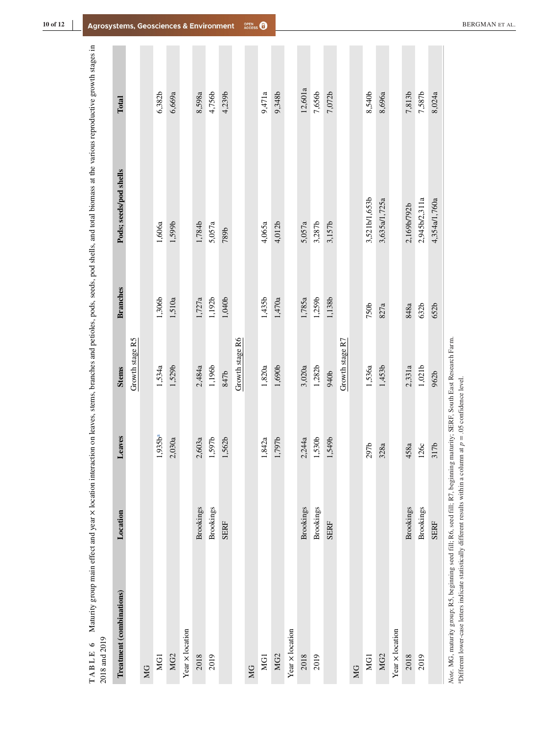<span id="page-10-0"></span>

| MG1<br>ЮG       | Location         | eaves<br>┙             | <b>Stems</b>      | <b>Branches</b> | Pods; seeds/pod shells | Total   |
|-----------------|------------------|------------------------|-------------------|-----------------|------------------------|---------|
|                 |                  |                        | Growth stage R5   |                 |                        |         |
|                 |                  |                        |                   |                 |                        |         |
|                 |                  | 1,935b <sup>a</sup>    | 1,534a            | 1,306b          | 1,606a                 | 6,382b  |
| MG <sub>2</sub> |                  | 030a<br>$\tilde{c}$    | 1,529b            | 1,510a          | 1,599b                 | 6,669a  |
| Year x location |                  |                        |                   |                 |                        |         |
| 2018            | Brookings        | 60За<br>$\tilde{\sim}$ | 2,484a            | 1,727a          | 1,784b                 | 8,598a  |
| 2019            | <b>Brookings</b> | 1,597b                 | 1,196b            | 1,192b          | 5,057a                 | 4,756b  |
|                 | <b>SERF</b>      | 1,562b                 | 847b              | 1,040b          | 789b                   | 4,239b  |
|                 |                  |                        | Growth stage R6   |                 |                        |         |
| MG              |                  |                        |                   |                 |                        |         |
| MG1             |                  | 1,842a                 | 1,820a            | 1,435b          | 4,065a                 | 9,471a  |
| MG <sub>2</sub> |                  | 1,797b                 | $1,690\mathrm{b}$ | 1,470a          | 4,012b                 | 9,348b  |
| Year x location |                  |                        |                   |                 |                        |         |
| 2018            | <b>Brookings</b> | 2,244a                 | 3,020a            | 1,785a          | 5,057a                 | 12,601a |
| 2019            | <b>Brookings</b> | 1,530b                 | 1,282b            | 1,259b          | 3,287b                 | 7,656b  |
|                 | <b>SERF</b>      | 1,549b                 | 940b              | 1,138b          | 3,157b                 | 7,072b  |
|                 |                  |                        | Growth stage R7   |                 |                        |         |
| МG              |                  |                        |                   |                 |                        |         |
| MG <sub>1</sub> |                  | 297b                   | 1,536a            | 750b            | 3,521b/1,653b          | 8,540b  |
| MG <sub>2</sub> |                  | 328a                   | 1,453b            | 827a            | 3,635a/1,725a          | 8,696a  |
| Year x location |                  |                        |                   |                 |                        |         |
| 2018            | Brookings        | 458a                   | 2,331a            | 848a            | 2,169b/792b            | 7,813b  |
| 2019            | <b>Brookings</b> | 126c                   | 1,021b            | 632b            | 2,945b/2,311a          | 7,587b  |
|                 | <b>SERF</b>      | 97<br>$\overline{31}$  | 962b              | 652b            | 4,354a/1,760a          | 8,024a  |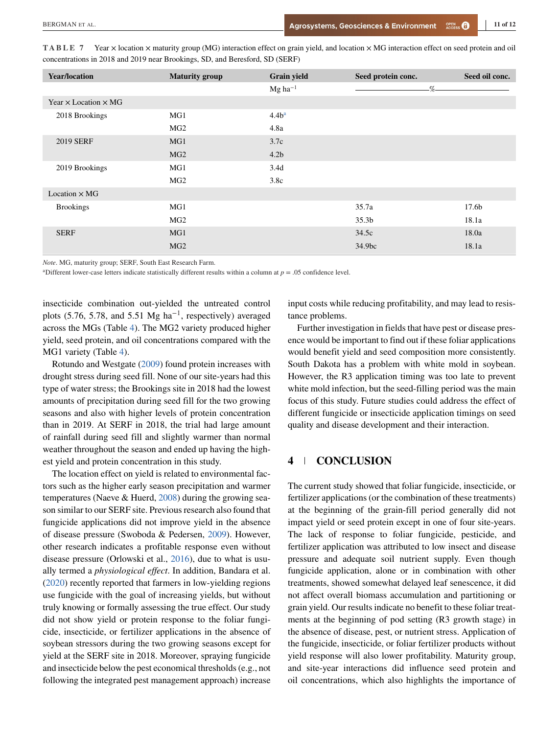| <b>Year/location</b>               | <b>Maturity group</b> | <b>Grain yield</b>    | Seed protein conc. | Seed oil conc. |
|------------------------------------|-----------------------|-----------------------|--------------------|----------------|
|                                    |                       | $Mg$ ha <sup>-1</sup> | $\%$               |                |
| Year $\times$ Location $\times$ MG |                       |                       |                    |                |
| 2018 Brookings                     | MG1                   | 4.4b <sup>a</sup>     |                    |                |
|                                    | MG <sub>2</sub>       | 4.8a                  |                    |                |
| <b>2019 SERF</b>                   | MG1                   | 3.7c                  |                    |                |
|                                    | MG <sub>2</sub>       | 4.2 <sub>b</sub>      |                    |                |
| 2019 Brookings                     | MG1                   | 3.4d                  |                    |                |
|                                    | MG <sub>2</sub>       | 3.8c                  |                    |                |
| Location $\times$ MG               |                       |                       |                    |                |
| <b>Brookings</b>                   | MG1                   |                       | 35.7a              | 17.6b          |
|                                    | MG <sub>2</sub>       |                       | 35.3 <sub>b</sub>  | 18.1a          |
| <b>SERF</b>                        | MG1                   |                       | 34.5c              | 18.0a          |
|                                    | MG <sub>2</sub>       |                       | 34.9bc             | 18.1a          |

<span id="page-11-0"></span>**TABLE 7** Year  $\times$  location  $\times$  maturity group (MG) interaction effect on grain yield, and location  $\times$  MG interaction effect on seed protein and oil concentrations in 2018 and 2019 near Brookings, SD, and Beresford, SD (SERF)

*Note*. MG, maturity group; SERF, South East Research Farm.

<sup>a</sup>Different lower-case letters indicate statistically different results within a column at  $p = .05$  confidence level.

insecticide combination out-yielded the untreated control plots (5.76, 5.78, and 5.51 Mg ha<sup>-1</sup>, respectively) averaged across the MGs (Table [4\)](#page-7-0). The MG2 variety produced higher yield, seed protein, and oil concentrations compared with the MG1 variety (Table [4\)](#page-7-0).

Rotundo and Westgate [\(2009\)](#page-12-0) found protein increases with drought stress during seed fill. None of our site-years had this type of water stress; the Brookings site in 2018 had the lowest amounts of precipitation during seed fill for the two growing seasons and also with higher levels of protein concentration than in 2019. At SERF in 2018, the trial had large amount of rainfall during seed fill and slightly warmer than normal weather throughout the season and ended up having the highest yield and protein concentration in this study.

The location effect on yield is related to environmental factors such as the higher early season precipitation and warmer temperatures (Naeve & Huerd, [2008\)](#page-12-0) during the growing season similar to our SERF site. Previous research also found that fungicide applications did not improve yield in the absence of disease pressure (Swoboda & Pedersen, [2009\)](#page-12-0). However, other research indicates a profitable response even without disease pressure (Orlowski et al., [2016\)](#page-12-0), due to what is usually termed a *physiological effect*. In addition, Bandara et al. [\(2020\)](#page-12-0) recently reported that farmers in low-yielding regions use fungicide with the goal of increasing yields, but without truly knowing or formally assessing the true effect. Our study did not show yield or protein response to the foliar fungicide, insecticide, or fertilizer applications in the absence of soybean stressors during the two growing seasons except for yield at the SERF site in 2018. Moreover, spraying fungicide and insecticide below the pest economical thresholds (e.g., not following the integrated pest management approach) increase

input costs while reducing profitability, and may lead to resistance problems.

Further investigation in fields that have pest or disease presence would be important to find out if these foliar applications would benefit yield and seed composition more consistently. South Dakota has a problem with white mold in soybean. However, the R3 application timing was too late to prevent white mold infection, but the seed-filling period was the main focus of this study. Future studies could address the effect of different fungicide or insecticide application timings on seed quality and disease development and their interaction.

### **4 CONCLUSION**

The current study showed that foliar fungicide, insecticide, or fertilizer applications (or the combination of these treatments) at the beginning of the grain-fill period generally did not impact yield or seed protein except in one of four site-years. The lack of response to foliar fungicide, pesticide, and fertilizer application was attributed to low insect and disease pressure and adequate soil nutrient supply. Even though fungicide application, alone or in combination with other treatments, showed somewhat delayed leaf senescence, it did not affect overall biomass accumulation and partitioning or grain yield. Our results indicate no benefit to these foliar treatments at the beginning of pod setting (R3 growth stage) in the absence of disease, pest, or nutrient stress. Application of the fungicide, insecticide, or foliar fertilizer products without yield response will also lower profitability. Maturity group, and site-year interactions did influence seed protein and oil concentrations, which also highlights the importance of